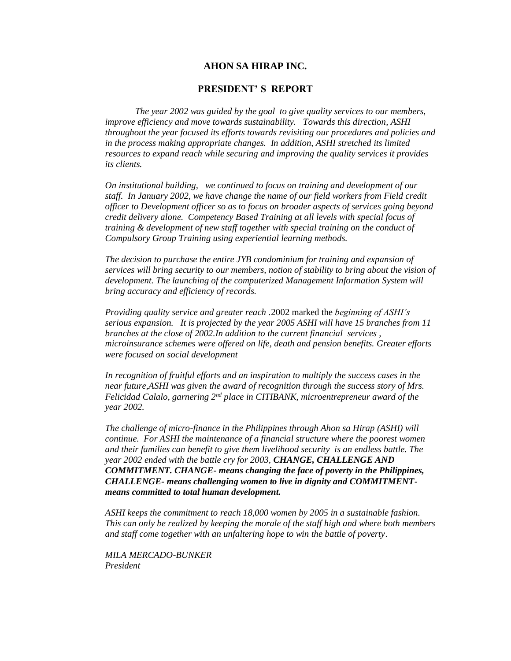#### **AHON SA HIRAP INC.**

#### **PRESIDENT' S REPORT**

*The year 2002 was guided by the goal to give quality services to our members, improve efficiency and move towards sustainability. Towards this direction, ASHI throughout the year focused its efforts towards revisiting our procedures and policies and in the process making appropriate changes. In addition, ASHI stretched its limited resources to expand reach while securing and improving the quality services it provides its clients.* 

*On institutional building, we continued to focus on training and development of our staff. In January 2002, we have change the name of our field workers from Field credit officer to Development officer so as to focus on broader aspects of services going beyond credit delivery alone. Competency Based Training at all levels with special focus of training & development of new staff together with special training on the conduct of Compulsory Group Training using experiential learning methods.*

*The decision to purchase the entire JYB condominium for training and expansion of services will bring security to our members, notion of stability to bring about the vision of development. The launching of the computerized Management Information System will bring accuracy and efficiency of records.*

*Providing quality service and greater reach .*2002 marked the *beginning of ASHI's serious expansion. It is projected by the year 2005 ASHI will have 15 branches from 11 branches at the close of 2002.In addition to the current financial services , microinsurance schemes were offered on life, death and pension benefits. Greater efforts were focused on social development*

*In recognition of fruitful efforts and an inspiration to multiply the success cases in the near future*,*ASHI was given the award of recognition through the success story of Mrs. Felicidad Calalo, garnering 2nd place in CITIBANK, microentrepreneur award of the year 2002.*

*The challenge of micro-finance in the Philippines through Ahon sa Hirap (ASHI) will continue. For ASHI the maintenance of a financial structure where the poorest women and their families can benefit to give them livelihood security is an endless battle. The year 2002 ended with the battle cry for 2003, CHANGE, CHALLENGE AND COMMITMENT. CHANGE- means changing the face of poverty in the Philippines, CHALLENGE- means challenging women to live in dignity and COMMITMENTmeans committed to total human development.*

*ASHI keeps the commitment to reach 18,000 women by 2005 in a sustainable fashion. This can only be realized by keeping the morale of the staff high and where both members and staff come together with an unfaltering hope to win the battle of poverty*.

*MILA MERCADO-BUNKER President*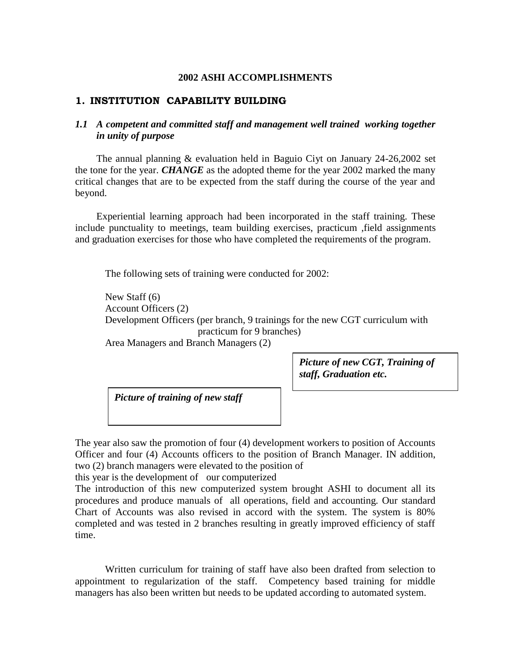#### **2002 ASHI ACCOMPLISHMENTS**

#### **1. INSTITUTION CAPABILITY BUILDING**

## *1.1 A competent and committed staff and management well trained working together in unity of purpose*

The annual planning & evaluation held in Baguio Ciyt on January 24-26,2002 set the tone for the year. *CHANGE* as the adopted theme for the year 2002 marked the many critical changes that are to be expected from the staff during the course of the year and beyond.

Experiential learning approach had been incorporated in the staff training. These include punctuality to meetings, team building exercises, practicum ,field assignments and graduation exercises for those who have completed the requirements of the program.

The following sets of training were conducted for 2002:

New Staff (6) Account Officers (2) Development Officers (per branch, 9 trainings for the new CGT curriculum with practicum for 9 branches) Area Managers and Branch Managers (2)

> *Picture of new CGT, Training of staff, Graduation etc.*

*Picture of training of new staff*

The year also saw the promotion of four (4) development workers to position of Accounts Officer and four (4) Accounts officers to the position of Branch Manager. IN addition, two (2) branch managers were elevated to the position of

this year is the development of our computerized

The introduction of this new computerized system brought ASHI to document all its procedures and produce manuals of all operations, field and accounting. Our standard Chart of Accounts was also revised in accord with the system. The system is 80% completed and was tested in 2 branches resulting in greatly improved efficiency of staff time.

Written curriculum for training of staff have also been drafted from selection to appointment to regularization of the staff. Competency based training for middle managers has also been written but needs to be updated according to automated system.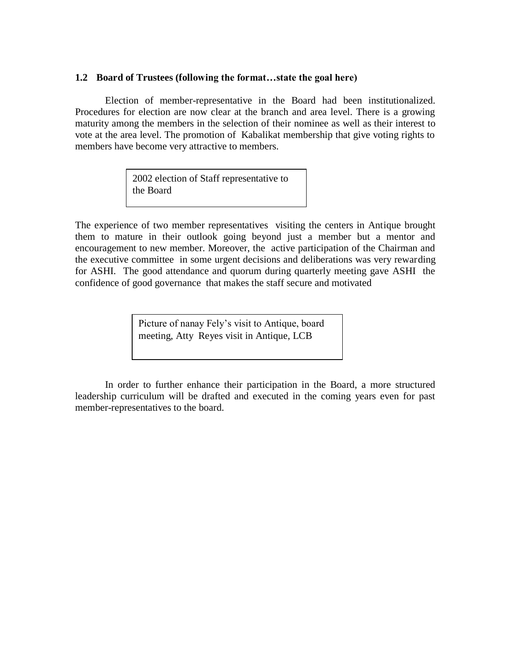#### **1.2 Board of Trustees (following the format…state the goal here)**

Election of member-representative in the Board had been institutionalized. Procedures for election are now clear at the branch and area level. There is a growing maturity among the members in the selection of their nominee as well as their interest to vote at the area level. The promotion of Kabalikat membership that give voting rights to members have become very attractive to members.

> 2002 election of Staff representative to the Board

The experience of two member representatives visiting the centers in Antique brought them to mature in their outlook going beyond just a member but a mentor and encouragement to new member. Moreover, the active participation of the Chairman and the executive committee in some urgent decisions and deliberations was very rewarding for ASHI. The good attendance and quorum during quarterly meeting gave ASHI the confidence of good governance that makes the staff secure and motivated

> Picture of nanay Fely's visit to Antique, board meeting, Atty Reyes visit in Antique, LCB

In order to further enhance their participation in the Board, a more structured leadership curriculum will be drafted and executed in the coming years even for past member-representatives to the board.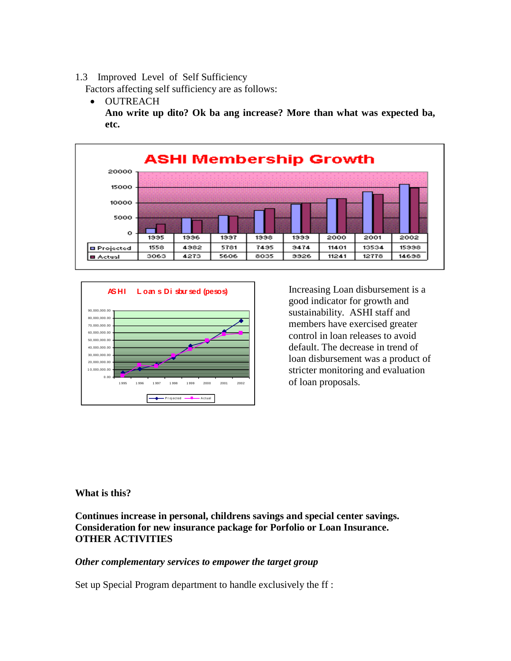1.3 Improved Level of Self Sufficiency

Factors affecting self sufficiency are as follows:

 OUTREACH **Ano write up dito? Ok ba ang increase? More than what was expected ba, etc.**





Increasing Loan disbursement is a good indicator for growth and sustainability. ASHI staff and members have exercised greater control in loan releases to avoid default. The decrease in trend of loan disbursement was a product of stricter monitoring and evaluation of loan proposals.

### **What is this?**

**Continues increase in personal, childrens savings and special center savings. Consideration for new insurance package for Porfolio or Loan Insurance. OTHER ACTIVITIES**

### *Other complementary services to empower the target group*

Set up Special Program department to handle exclusively the ff :